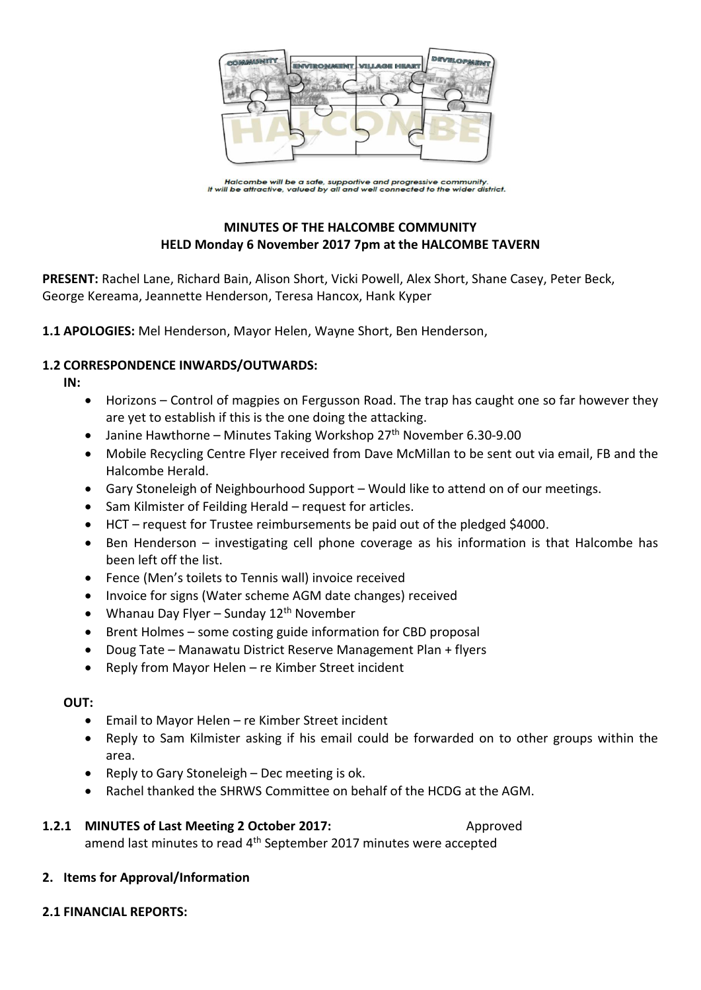

Halcombe will be a safe, supportive and progressive community.<br>It will be attractive, valued by all and well connected to the wider district.

# **MINUTES OF THE HALCOMBE COMMUNITY HELD Monday 6 November 2017 7pm at the HALCOMBE TAVERN**

**PRESENT:** Rachel Lane, Richard Bain, Alison Short, Vicki Powell, Alex Short, Shane Casey, Peter Beck, George Kereama, Jeannette Henderson, Teresa Hancox, Hank Kyper

**1.1 APOLOGIES:** Mel Henderson, Mayor Helen, Wayne Short, Ben Henderson,

## **1.2 CORRESPONDENCE INWARDS/OUTWARDS:**

**IN:** 

- Horizons Control of magpies on Fergusson Road. The trap has caught one so far however they are yet to establish if this is the one doing the attacking.
- Janine Hawthorne Minutes Taking Workshop  $27<sup>th</sup>$  November 6.30-9.00
- Mobile Recycling Centre Flyer received from Dave McMillan to be sent out via email, FB and the Halcombe Herald.
- Gary Stoneleigh of Neighbourhood Support Would like to attend on of our meetings.
- Sam Kilmister of Feilding Herald request for articles.
- HCT request for Trustee reimbursements be paid out of the pledged \$4000.
- Ben Henderson investigating cell phone coverage as his information is that Halcombe has been left off the list.
- Fence (Men's toilets to Tennis wall) invoice received
- Invoice for signs (Water scheme AGM date changes) received
- Whanau Day Flyer Sunday  $12<sup>th</sup>$  November
- Brent Holmes some costing guide information for CBD proposal
- Doug Tate Manawatu District Reserve Management Plan + flyers
- Reply from Mayor Helen re Kimber Street incident

#### **OUT:**

- Email to Mayor Helen re Kimber Street incident
- Reply to Sam Kilmister asking if his email could be forwarded on to other groups within the area.
- Reply to Gary Stoneleigh Dec meeting is ok.
- Rachel thanked the SHRWS Committee on behalf of the HCDG at the AGM.

# **1.2.1 MINUTES of Last Meeting 2 October 2017:** Approved amend last minutes to read 4<sup>th</sup> September 2017 minutes were accepted

#### **2. Items for Approval/Information**

#### **2.1 FINANCIAL REPORTS:**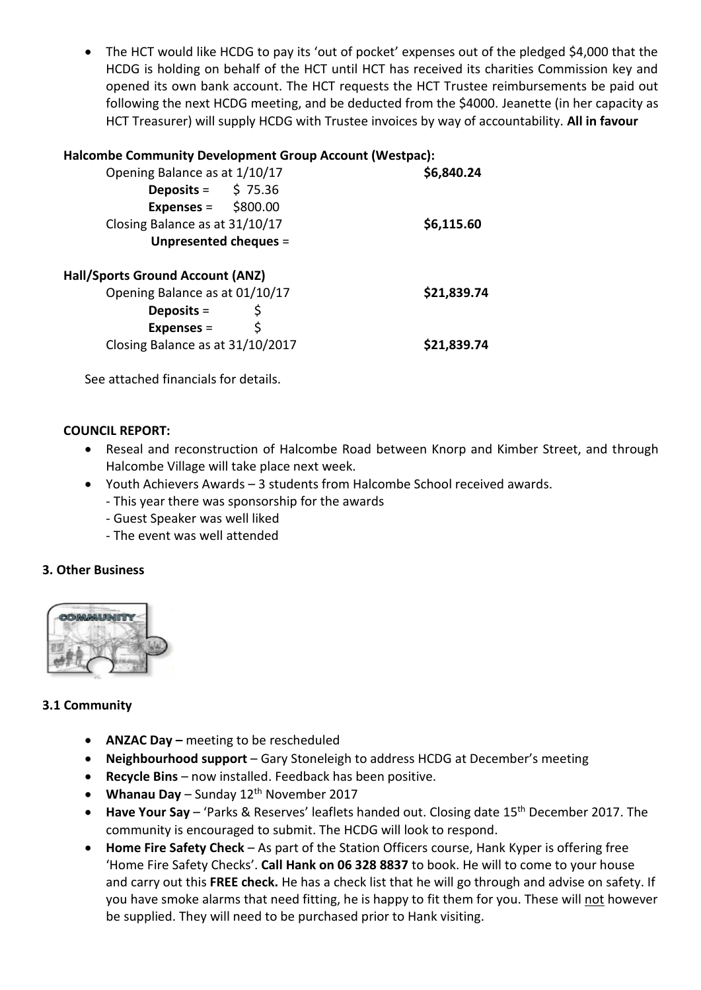• The HCT would like HCDG to pay its 'out of pocket' expenses out of the pledged \$4,000 that the HCDG is holding on behalf of the HCT until HCT has received its charities Commission key and opened its own bank account. The HCT requests the HCT Trustee reimbursements be paid out following the next HCDG meeting, and be deducted from the \$4000. Jeanette (in her capacity as HCT Treasurer) will supply HCDG with Trustee invoices by way of accountability. **All in favour**

## **Halcombe Community Development Group Account (Westpac):**

| Opening Balance as at 1/10/17                  | \$6,840.24  |
|------------------------------------------------|-------------|
| <b>Deposits = <math>\qquad</math> \$ 75.36</b> |             |
| Expenses = $$800.00$                           |             |
| Closing Balance as at 31/10/17                 | \$6,115.60  |
| Unpresented cheques =                          |             |
| <b>Hall/Sports Ground Account (ANZ)</b>        |             |
| Opening Balance as at 01/10/17                 | \$21,839.74 |
| Deposits $=$                                   |             |
| \$<br>Expenses $=$                             |             |
| Closing Balance as at 31/10/2017               | \$21,839.74 |
|                                                |             |

See attached financials for details.

#### **COUNCIL REPORT:**

- Reseal and reconstruction of Halcombe Road between Knorp and Kimber Street, and through Halcombe Village will take place next week.
- Youth Achievers Awards 3 students from Halcombe School received awards.
	- This year there was sponsorship for the awards
	- Guest Speaker was well liked
	- The event was well attended

#### **3. Other Business**



#### **3.1 Community**

- **ANZAC Day –** meeting to be rescheduled
- **Neighbourhood support** Gary Stoneleigh to address HCDG at December's meeting
- **Recycle Bins** now installed. Feedback has been positive.
- **Whanau Day**  Sunday 12th November 2017
- Have Your Say 'Parks & Reserves' leaflets handed out. Closing date 15<sup>th</sup> December 2017. The community is encouraged to submit. The HCDG will look to respond.
- **Home Fire Safety Check** As part of the Station Officers course, Hank Kyper is offering free 'Home Fire Safety Checks'. **Call Hank on 06 328 8837** to book. He will to come to your house and carry out this **FREE check.** He has a check list that he will go through and advise on safety. If you have smoke alarms that need fitting, he is happy to fit them for you. These will not however be supplied. They will need to be purchased prior to Hank visiting.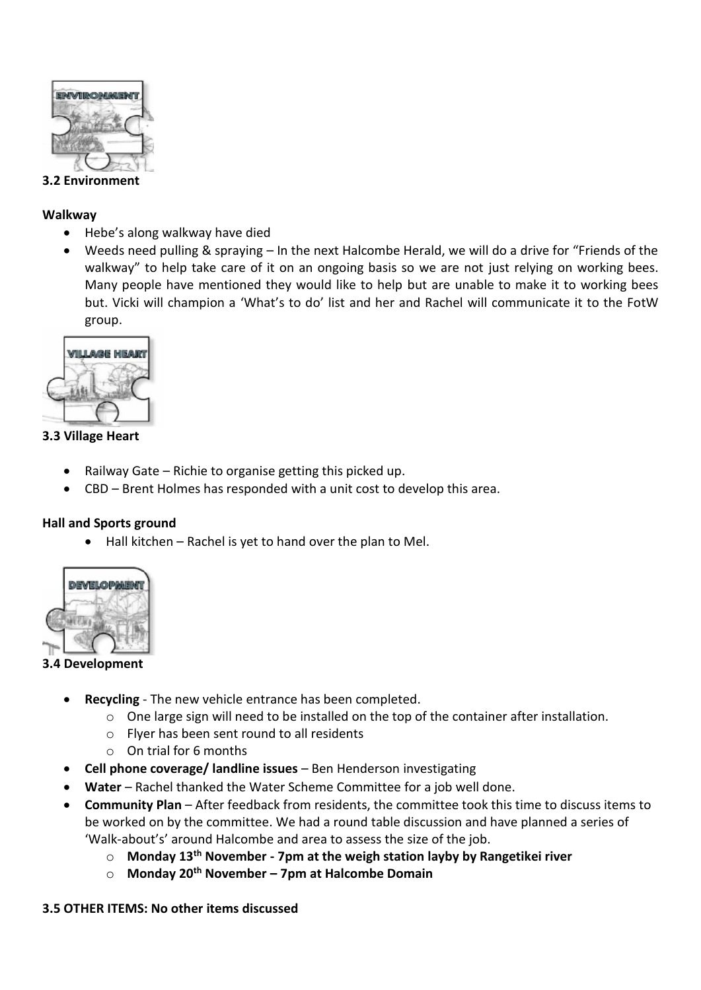

#### **3.2 Environment**

#### **Walkway**

- Hebe's along walkway have died
- Weeds need pulling & spraying In the next Halcombe Herald, we will do a drive for "Friends of the walkway" to help take care of it on an ongoing basis so we are not just relying on working bees. Many people have mentioned they would like to help but are unable to make it to working bees but. Vicki will champion a 'What's to do' list and her and Rachel will communicate it to the FotW group.



## **3.3 Village Heart**

- Railway Gate Richie to organise getting this picked up.
- CBD Brent Holmes has responded with a unit cost to develop this area.

# **Hall and Sports ground**

 $\bullet$  Hall kitchen – Rachel is yet to hand over the plan to Mel.



# **3.4 Development**

- **Recycling** The new vehicle entrance has been completed.
	- o One large sign will need to be installed on the top of the container after installation.
	- o Flyer has been sent round to all residents
	- o On trial for 6 months
- **Cell phone coverage/ landline issues** Ben Henderson investigating
- **Water**  Rachel thanked the Water Scheme Committee for a job well done.
- **Community Plan** After feedback from residents, the committee took this time to discuss items to be worked on by the committee. We had a round table discussion and have planned a series of 'Walk-about's' around Halcombe and area to assess the size of the job.
	- o **Monday 13th November - 7pm at the weigh station layby by Rangetikei river**
	- o **Monday 20th November – 7pm at Halcombe Domain**

#### **3.5 OTHER ITEMS: No other items discussed**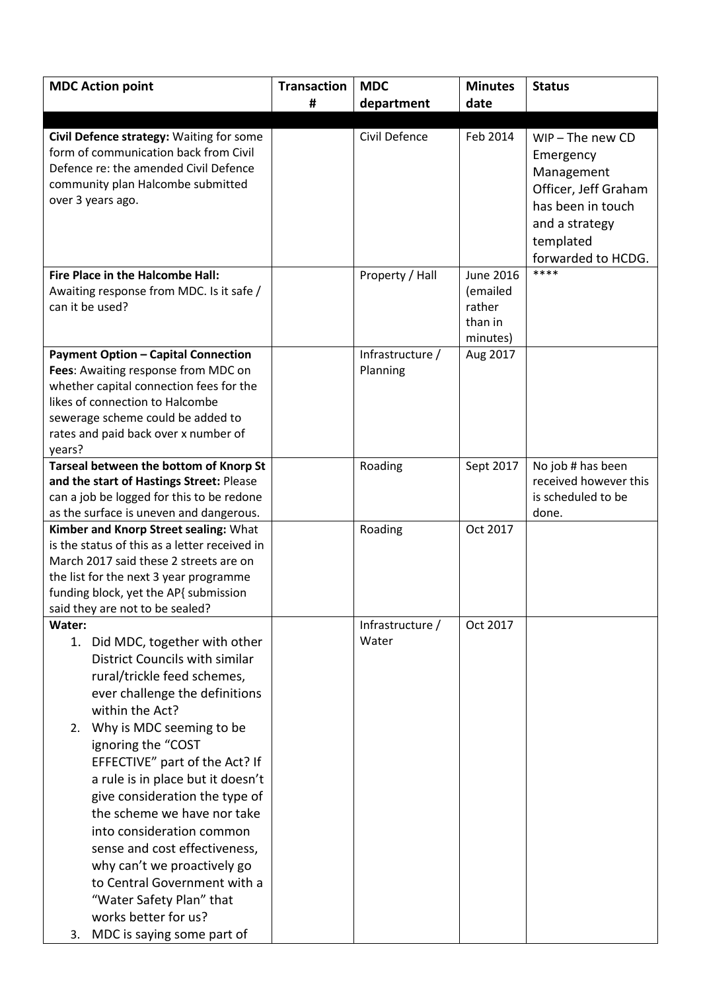| <b>MDC Action point</b>                                                                | <b>Transaction</b> | <b>MDC</b>       | <b>Minutes</b>   | <b>Status</b>         |
|----------------------------------------------------------------------------------------|--------------------|------------------|------------------|-----------------------|
|                                                                                        | #                  | department       | date             |                       |
|                                                                                        |                    |                  |                  |                       |
| Civil Defence strategy: Waiting for some                                               |                    | Civil Defence    | Feb 2014         | $WIP$ – The new CD    |
| form of communication back from Civil                                                  |                    |                  |                  | Emergency             |
| Defence re: the amended Civil Defence                                                  |                    |                  |                  | Management            |
| community plan Halcombe submitted                                                      |                    |                  |                  | Officer, Jeff Graham  |
| over 3 years ago.                                                                      |                    |                  |                  | has been in touch     |
|                                                                                        |                    |                  |                  | and a strategy        |
|                                                                                        |                    |                  |                  | templated             |
|                                                                                        |                    |                  |                  | forwarded to HCDG.    |
| Fire Place in the Halcombe Hall:                                                       |                    | Property / Hall  | <b>June 2016</b> | ****                  |
| Awaiting response from MDC. Is it safe /                                               |                    |                  | (emailed         |                       |
| can it be used?                                                                        |                    |                  | rather           |                       |
|                                                                                        |                    |                  | than in          |                       |
|                                                                                        |                    |                  | minutes)         |                       |
| <b>Payment Option - Capital Connection</b>                                             |                    | Infrastructure / | Aug 2017         |                       |
| Fees: Awaiting response from MDC on                                                    |                    | Planning         |                  |                       |
| whether capital connection fees for the                                                |                    |                  |                  |                       |
| likes of connection to Halcombe                                                        |                    |                  |                  |                       |
| sewerage scheme could be added to                                                      |                    |                  |                  |                       |
| rates and paid back over x number of                                                   |                    |                  |                  |                       |
| years?                                                                                 |                    |                  |                  |                       |
| Tarseal between the bottom of Knorp St                                                 |                    | Roading          | Sept 2017        | No job # has been     |
| and the start of Hastings Street: Please                                               |                    |                  |                  | received however this |
| can a job be logged for this to be redone                                              |                    |                  |                  | is scheduled to be    |
| as the surface is uneven and dangerous.                                                |                    |                  | Oct 2017         | done.                 |
| Kimber and Knorp Street sealing: What<br>is the status of this as a letter received in |                    | Roading          |                  |                       |
| March 2017 said these 2 streets are on                                                 |                    |                  |                  |                       |
| the list for the next 3 year programme                                                 |                    |                  |                  |                       |
| funding block, yet the AP{ submission                                                  |                    |                  |                  |                       |
| said they are not to be sealed?                                                        |                    |                  |                  |                       |
| Water:                                                                                 |                    | Infrastructure / | Oct 2017         |                       |
| 1. Did MDC, together with other                                                        |                    | Water            |                  |                       |
| District Councils with similar                                                         |                    |                  |                  |                       |
| rural/trickle feed schemes,                                                            |                    |                  |                  |                       |
| ever challenge the definitions                                                         |                    |                  |                  |                       |
| within the Act?                                                                        |                    |                  |                  |                       |
| Why is MDC seeming to be<br>2.                                                         |                    |                  |                  |                       |
| ignoring the "COST                                                                     |                    |                  |                  |                       |
| EFFECTIVE" part of the Act? If                                                         |                    |                  |                  |                       |
| a rule is in place but it doesn't                                                      |                    |                  |                  |                       |
| give consideration the type of                                                         |                    |                  |                  |                       |
| the scheme we have nor take                                                            |                    |                  |                  |                       |
| into consideration common                                                              |                    |                  |                  |                       |
| sense and cost effectiveness,                                                          |                    |                  |                  |                       |
| why can't we proactively go                                                            |                    |                  |                  |                       |
| to Central Government with a                                                           |                    |                  |                  |                       |
| "Water Safety Plan" that                                                               |                    |                  |                  |                       |
| works better for us?                                                                   |                    |                  |                  |                       |
|                                                                                        |                    |                  |                  |                       |
| MDC is saying some part of<br>3.                                                       |                    |                  |                  |                       |